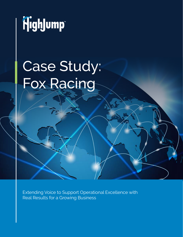

# Case Study: Fox Racing

Extending Voice to Support Operational Excellence with Real Results for a Growing Business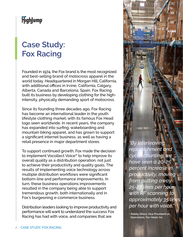#### **Case Study: Fox Racing**

Founded in 1974, the Fox brand is the most recognized and best-selling brand of motocross apparel in the world today. Headquartered in Morgan Hill, California, with additional offices in Irvine, California, Calgary, Alberta, Canada and Barcelona, Spain, Fox Racing built its business by developing clothing for the highintensity, physically demanding sport of motocross.

Since its founding three decades ago, Fox Racing has become an international leader in the youth lifestyle clothing market, with its famous Fox Head logo seen worldwide. In recent years, the company has expanded into surfing, wakeboarding and mountain biking apparel, and has grown to support a significant internet business, as well as having a retail presence in major department stores.

To support continued growth, Fox made the decision to implement Vocollect Voice® to help improve its overall quality as a distribution operation, not just to achieve their productivity and quality goals. The results of implementing voice technology across multiple distribution workflows were significant bottom-line and performance improvements. In turn, these business operations improvements resulted in the company being able to support tremendous growth, both internationally and in Fox's burgeoning e-commerce business.

Distribution leaders looking to improve productivity and performance will want to understand the success Fox Racing has had with voice, and companies that are

*"By interleaving replenishment and cycle-counting, we have seen a 20-25 percent increase in productivity, moving from putting away 25-27 lines per hour with RF scanning to approximately 35 lines per hour with voice."*

**- Robby Dhesi, Vice President of Operations, Fox Head, Inc.**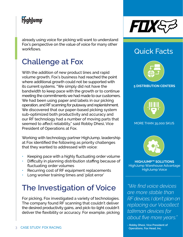# HighJump

already using voice for picking will want to understand Fox's perspective on the value of voice for many other workflows.

## **Challenge at Fox**

With the addition of new product lines and rapid volume growth, Fox's business had reached the point where additional growth could not be supported with its current systems. "We simply did not have the bandwidth to keep pace with the growth or to continue meeting the commitments we had made to our customers. We had been using paper and labels in our picking operation, and RF scanning for putaway and replenishment. We discovered that our paper-based picking system sub-optimized both productivity and accuracy and our RF technology had a number of moving parts that seemed to affect reliability," said Robby Dhesi, Vice President of Operations at Fox.

Working with technology partner HighJump, leadership at Fox identified the following as priority challenges that they wanted to addressed with voice:

- Keeping pace with a highly fluctuating order volume
- Difficulty in planning distribution staffing because of fluctuating order volumes
- Recurring cost of RF equipment replacements
- Long worker training times and 'pilot error'

# **The Investigation of Voice**

For picking, Fox investigated a variety of technologies. The company found RF scanning that couldn't deliver the desired productivity gains, and pick-to-light couldn't deliver the flexibility or accuracy. For example, picking



#### Quick Facts



#### **5 DISTRIBUTION CENTERS**



#### MORE THAN 35,000 SKUS



**HIGHJUMP™ SOLUTIONS** HighJump Warehouse Advantage HighJump Voice

*"We find voice devices are more stable than RF devices; I don't plan on replacing our Vocollect talkman devices for about five more years."*

**- Robby Dhesi, Vice President of Operations, Fox Head, Inc.**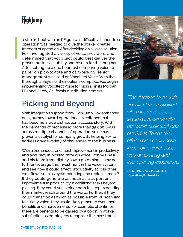a size-15 boot with an RF gun was difficult; a hands-free operation was needed to give the worker greater freedom of operation. After deciding on a voice solution, Fox investigated a variety of voice providers, and determined that Vocollect could best deliver the proven business stability and results for the long haul. After setting up a one hour test comparing voice to paper on pick-to-tote and cart-picking, senior management was sold on Vocollect Voice. With the thorough analysis of their options complete, Fox began implementing Vocollect Voice for picking in its Morgan Hill and Gilroy, California distribution centers.

# **Picking and Beyond**

With integration support from HighJump, Fox embarked on a journey toward operational excellence that has become a true distribution success story. With the demands of processing more than 35,000 SKUs across multiple channels of operation, voice has proven a catalyst for company growth, helping Fox to address a wide variety of challenges to the business.

With a tremendous and rapid improvement in productivity and accuracy in picking through voice, Robby Dhesi and his team immediately saw a gold mine – why not further leverage this investment in the voice system and see how it could affect productivity across other workflows such as cycle-counting and replenishment? If they could generate as much as a 15 percent improvement in productivity in additional tasks beyond picking, they could see a clear path to keep expanding their market reach around the world. Further, if they could transition as much as possible from RF scanning to strictly voice, they would likely generate even more benefits and improvements. For example, oftentimes there are benefits to be gained by a boost in worker satisfaction as employees recognize the investment



*"The decision to go with Vocollect was solidified when we were able to setup a live demo with our warehouse staff and our SKUs. To see the effect voice could have in our own warehouse was an exciting and eye-opening experience.*

**- Robby Dhesi, Vice President of Operations, Fox Head, Inc.**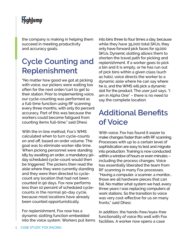the company is making in helping them succeed in meeting productivity and accuracy goals.

# **Cycle Counting and Replenishment**

"No matter how good we got at picking with voice, our pickers were waiting too often for the next order/cart to get to their station. Prior to implementing voice, our cycle-counting was performed as a full-time function using RF scanning every three months, with only 60 percent accuracy. Part of this was because the workers could become fatigued from counting items full-time," said Dhesi.

With the in-line method, Fox's WMS calculated when to turn cycle-counts on and off, based on order volume. The goal was to eliminate worker idle time. When picking personnel were standing idly by awaiting an order, a mandatory 90 day scheduled cycle-count would then be triggered. The pickers then read the aisle where they were currently standing and they were then directed to cyclecount any location that had not been counted in 90 days. Fox now performs less than 10 percent of scheduled cyclecounts in the normal 90-day cycle, because most locations have already been counted opportunistically.

For replenishment, Fox now has a dynamic slotting function embedded into the voice system. Workers put items into bins three to four times a day, because while they have 35,000 total SKUs, they only have forward pick faces for 19,000 SKUs. Dynamic slotting allows them to shorten the travel path for picking and replenishment. If a worker goes to pick a bin and it is empty, or he has run out of pick bins within a given class (such as hats), voice directs the worker to a dynamic aisle where he can say where he is, and the WMS will pick a dynamic slot for the product. The user just says, "I am in Alpha One" – there is no need to say the complete location.

#### **Additional Benefits of Voice**

With voice, Fox has found it easier to make changes faster than with RF scanning. Processes with up to a certain level of sophistication are easy to test and migrate into production. Training is now conducted within a window of hours or even minutes – including the process changes. Voice has essentially liberated the team from RF scanning in many Fox processes. "Having a computer, a scanner, a monitor... those are all hardware pieces that can fail. No matter what system we had, every three years I was replacing computers at work stations. So the transition to voice was very cost-effective for us on many fronts," said Dhesi.

In addition, the hands-free/eyes-free functionality of voice fits well with Fox facilities. A worker now opens a case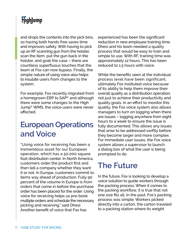and drops the contents into the pick bins, so having both hands free saves time and improves safety. With having to pick up an RF scanning gun from the holster, scan the item, put the gun back in the holster, and grab the case – there are countless superfluous touches that the team at Fox can now bypass. Finally, the simple nature of using voice also helps to insulate users from changes to the system.

For example, Fox recently migrated from a homegrown ERP to SAP® and although there were some changes to the High Jump® WMS, the voice users were never affected.

#### **European Operations and Voice**

"Using voice for receiving has been a tremendous asset for our European operation, which has a 50,000 square foot distribution center. In North America, customers order the product first and then tell a company whether they want it or not. In Europe, customers commit to items way ahead of production. Fully 90 percent of the volume in Europe is from orders that come in before the purchase order has been placed for the order. Using voice for receiving helps us pre-book multiple orders and schedule the necessary picking and receiving," said Dhesi. Another benefit of voice that Fox has

experienced has been the significant reduction in new employee training time. Dhesi and his team needed a quality process that would be easy to train and simple to use. With RF, training time was approximately 12 hours. This has been reduced to 1.5 hours with voice.

While the benefits seen at the individual process level have been significant, ultimately Fox instituted voice because of its ability to help them improve their overall quality as a distribution operation, not just to achieve their productivity and quality goals. In an effort to monitor this quality, the Fox voice system also allows managers to turn on logging when there are issues – logging anywhere from eight hours to a week to ensure the issue is fully documented. This allows any issues that arise to be addressed swiftly before they become larger and more complex. For immediate user issues, the Fox voice system allows a supervisor to launch a dialog box of what the user is being prompted to do.

#### **The Future**

In the future, Fox is looking to develop a voice solution to guide workers through the packing process. When it comes to the packing workflow, it is true that not one size fits all. In the past, Fox's packing process was simple: Workers picked directly into a carton, the carton traveled to a packing station where its weight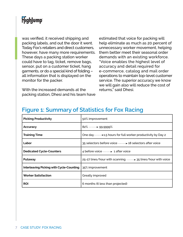was verified, it received shipping and packing labels, and out the door it went. Today Fox's retailers and direct customers, however, have many more requirements. These days a packing station worker could have to tag, ticket, remove bags, sensor, put on a customer ticket, hang garments, or do a special kind of folding – all information that is displayed on the monitor for the packer.

With the increased demands at the packing station, Dhesi and his team have estimated that voice for packing will help eliminate as much as 20 percent of unnecessary worker movement, helping them better meet their seasonal order demands with an existing workforce. "Voice enables the highest level of accuracy and detail required for e-commerce, catalog and mail order operations to maintain top-level customer service. The superior accuracy we know we will gain also will reduce the cost of returns," said Dhesi.

#### **Figure 1: Summary of Statistics for Fox Racing**

| <b>Picking Productivity</b>                     | 50% improvement                                                            |
|-------------------------------------------------|----------------------------------------------------------------------------|
| Accuracy                                        | 82% 99.9999%                                                               |
| <b>Training Time</b>                            | One day <b>Determinate 1.5</b> hours for full worker productivity by Day 2 |
| Labor                                           | 35 selectors before voice <b>35</b> selectors after voice                  |
| <b>Dedicated Cycle-Counters</b>                 | 4 before voice <b>with a</b> 1 after voice                                 |
| Putaway                                         | 25-27 lines/hour with scanning <b>manniturity</b> 35 lines/hour with voice |
| <b>Interleaving Picking with Cycle-Counting</b> | 35% improvement                                                            |
| <b>Worker Satisfaction</b>                      | Greatly improved                                                           |
| <b>ROI</b>                                      | 6 months (6 less than projected)                                           |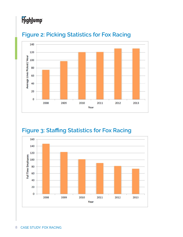# HighJump



#### **Figure 2: Picking Statistics for Fox Racing**

#### **Figure 3: Staffing Statistics for Fox Racing**